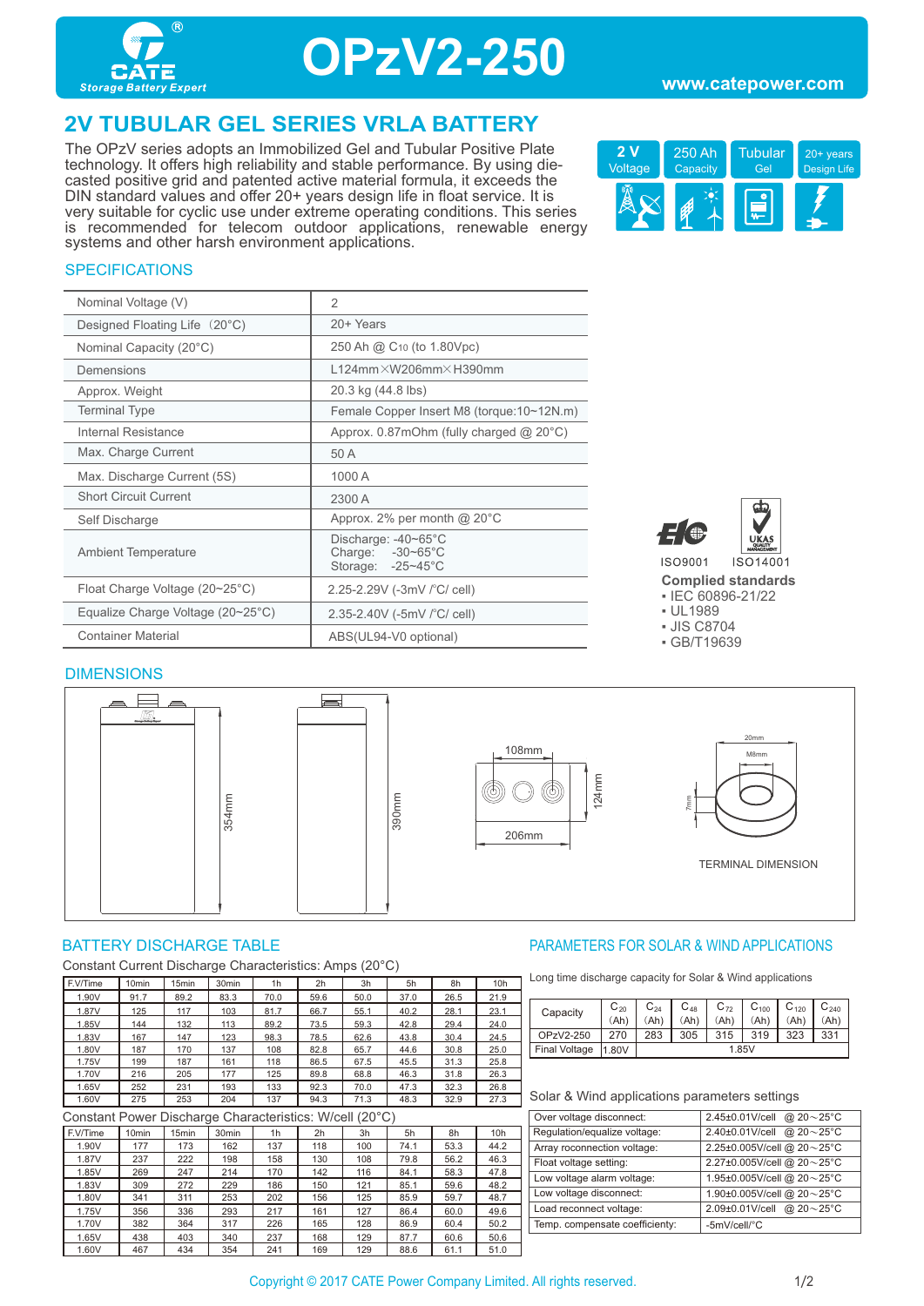

## **OPzV2-250**

### **2V TUBULAR GEL SERIES VRLA BATTERY**

The OPzV series adopts an Immobilized Gel and Tubular Positive Plate technology. It offers high reliability and stable performance. By using diecasted positive grid and patented active material formula, it exceeds the DIN standard values and offer 20+ years design life in float service. It is very suitable for cyclic use under extreme operating conditions. This series is recommended for telecom outdoor applications, renewable energy systems and other harsh environment applications.



### **SPECIFICATIONS**

| Nominal Voltage (V)                               | $\overline{2}$                                               |
|---------------------------------------------------|--------------------------------------------------------------|
| Designed Floating Life (20°C)                     | 20+ Years                                                    |
| Nominal Capacity (20°C)                           | 250 Ah @ C <sub>10</sub> (to 1.80Vpc)                        |
| Demensions                                        | $L124$ mm $\times$ W206mm $\times$ H390mm                    |
| Approx. Weight                                    | 20.3 kg (44.8 lbs)                                           |
| <b>Terminal Type</b>                              | Female Copper Insert M8 (torque:10~12N.m)                    |
| Internal Resistance                               | Approx. $0.87$ mOhm (fully charged @ 20 $^{\circ}$ C)        |
| Max. Charge Current                               | 50 A                                                         |
| Max. Discharge Current (5S)                       | 1000 A                                                       |
| <b>Short Circuit Current</b>                      | 2300 A                                                       |
| Self Discharge                                    | Approx. 2% per month $@$ 20 $°C$                             |
| <b>Ambient Temperature</b>                        | Discharge: -40~65°C<br>Charge: -30~65°C<br>Storage: -25~45°C |
| Float Charge Voltage (20~25°C)                    | 2.25-2.29V (-3mV / °C/ cell)                                 |
| Equalize Charge Voltage $(20~25~{\rm ^{\circ}C})$ | 2.35-2.40V (-5mV / °C/ cell)                                 |
| <b>Container Material</b>                         | ABS(UL94-V0 optional)                                        |



**Complied standards** 

▪ IEC 60896-21/22

▪ UL1989

▪ JIS C8704

▪ GB/T19639

#### **DIMENSIONS**



Constant Current Discharge Characteristics: Amps (20°C)

| F.V/Time | 10 <sub>min</sub> | 15 <sub>min</sub> | 30 <sub>min</sub> | 1h   | 2h   | 3h   | 5h   | 8h   | 10 <sub>h</sub> |
|----------|-------------------|-------------------|-------------------|------|------|------|------|------|-----------------|
| 1.90V    | 91.7              | 89.2              | 83.3              | 70.0 | 59.6 | 50.0 | 37.0 | 26.5 | 21.9            |
| 1.87V    | 125               | 117               | 103               | 81.7 | 66.7 | 55.1 | 40.2 | 28.1 | 23.1            |
| 1.85V    | 144               | 132               | 113               | 89.2 | 73.5 | 59.3 | 42.8 | 29.4 | 24.0            |
| 1.83V    | 167               | 147               | 123               | 98.3 | 78.5 | 62.6 | 43.8 | 30.4 | 24.5            |
| 1.80V    | 187               | 170               | 137               | 108  | 82.8 | 65.7 | 44.6 | 30.8 | 25.0            |
| 1.75V    | 199               | 187               | 161               | 118  | 86.5 | 67.5 | 45.5 | 31.3 | 25.8            |
| 1.70V    | 216               | 205               | 177               | 125  | 89.8 | 68.8 | 46.3 | 31.8 | 26.3            |
| 1.65V    | 252               | 231               | 193               | 133  | 92.3 | 70.0 | 47.3 | 32.3 | 26.8            |
| 1.60V    | 275               | 253               | 204               | 137  | 94.3 | 71.3 | 48.3 | 32.9 | 27.3            |

Constant Power Discharge Characteristics: W/cell (20°C)

| Constant Fower Discriarge Characteristics. W/Cell (20 C) |                   |                   |                   |     |     |     |      |      |                 |
|----------------------------------------------------------|-------------------|-------------------|-------------------|-----|-----|-----|------|------|-----------------|
| F.V/Time                                                 | 10 <sub>min</sub> | 15 <sub>min</sub> | 30 <sub>min</sub> | 1h  | 2h  | 3h  | 5h   | 8h   | 10 <sub>h</sub> |
| 1.90V                                                    | 177               | 173               | 162               | 137 | 118 | 100 | 74.1 | 53.3 | 44.2            |
| 1.87V                                                    | 237               | 222               | 198               | 158 | 130 | 108 | 79.8 | 56.2 | 46.3            |
| 1.85V                                                    | 269               | 247               | 214               | 170 | 142 | 116 | 84.1 | 58.3 | 47.8            |
| 1.83V                                                    | 309               | 272               | 229               | 186 | 150 | 121 | 85.1 | 59.6 | 48.2            |
| 1.80V                                                    | 341               | 311               | 253               | 202 | 156 | 125 | 85.9 | 59.7 | 48.7            |
| 1.75V                                                    | 356               | 336               | 293               | 217 | 161 | 127 | 86.4 | 60.0 | 49.6            |
| 1.70V                                                    | 382               | 364               | 317               | 226 | 165 | 128 | 86.9 | 60.4 | 50.2            |
| 1.65V                                                    | 438               | 403               | 340               | 237 | 168 | 129 | 87.7 | 60.6 | 50.6            |
| 1.60V                                                    | 467               | 434               | 354               | 241 | 169 | 129 | 88.6 | 61.1 | 51.0            |

### BATTERY DISCHARGE TABLE **External of the CONTROLLY CONTROLLY AND APPLICATIONS** PARAMETERS FOR SOLAR & WIND APPLICATIONS

Long time discharge capacity for Solar & Wind applications

|  | Capacity      | $C_{20}$ | $C_{24}$ | $C_{48}$ | $C_{72}$ | $C_{100}$ | $C_{120}$ | $C_{240}$ |  |
|--|---------------|----------|----------|----------|----------|-----------|-----------|-----------|--|
|  |               | (Ah)     |          | (Ah'     | (Ah)     | (Ah)      | Ah'       | (Ah)      |  |
|  | OPzV2-250     |          | 283      | 305      | 315      | 319       | 323       | 331       |  |
|  | Final Voltage | 1.80V    | 1.85V    |          |          |           |           |           |  |

#### Solar & Wind applications parameters settings

| 2.45±0.01V/cell @ $20 \sim 25^{\circ}$ C |
|------------------------------------------|
| 2.40±0.01V/cell<br>@ $20 - 25$ °C        |
| 2.25±0.005V/cell @ 20~25°C               |
| 2.27±0.005V/cell @ 20~25°C               |
| 1.95±0.005V/cell @ 20~25°C               |
| 1.90±0.005V/cell @ 20~25°C               |
| 2.09±0.01V/cell @ 20~25°C                |
| -5mV/cell/°C                             |
|                                          |